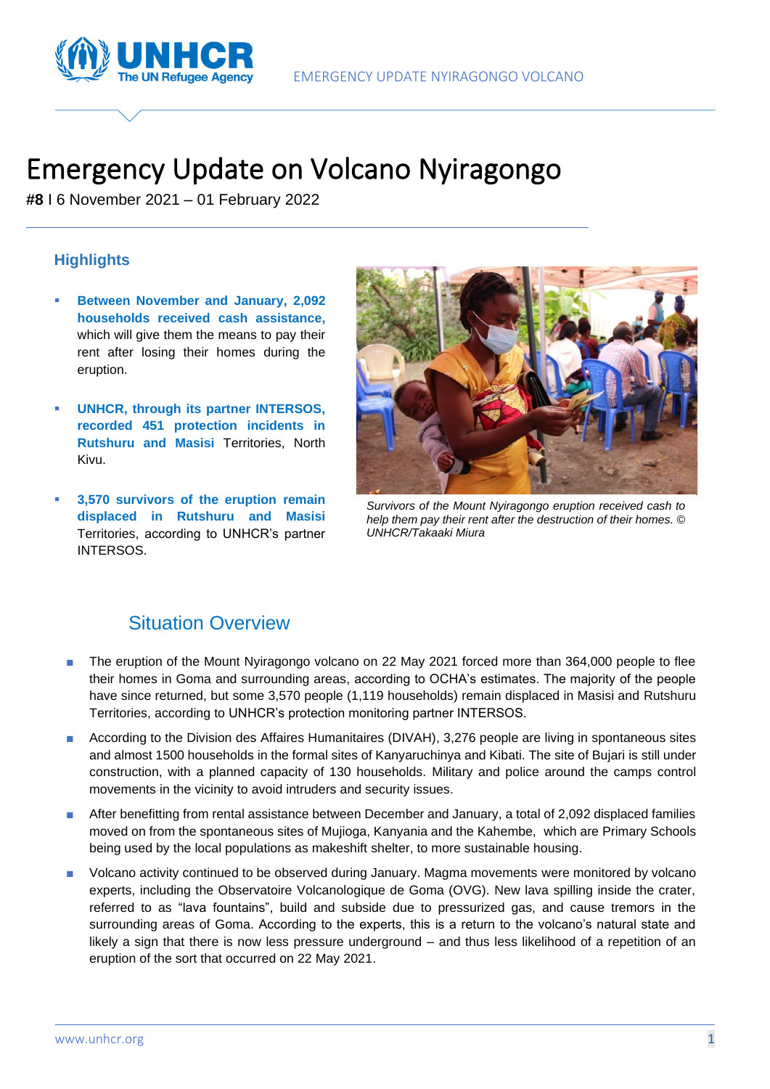



# Emergency Update on Volcano Nyiragongo

**#8** I 6 November 2021 – 01 February 2022

#### **Highlights**

- **Between November and January, 2,092 households received cash assistance,** which will give them the means to pay their rent after losing their homes during the eruption.
- **UNHCR, through its partner INTERSOS, recorded 451 protection incidents in Rutshuru and Masisi** Territories, North Kivu.
- **3,570 survivors of the eruption remain displaced in Rutshuru and Masisi** Territories, according to UNHCR's partner INTERSOS.



*Survivors of the Mount Nyiragongo eruption received cash to help them pay their rent after the destruction of their homes. © UNHCR/Takaaki Miura*

## Situation Overview

- The eruption of the Mount Nyiragongo volcano on 22 May 2021 forced more than 364,000 people to flee their homes in Goma and surrounding areas, according to OCHA's estimates. The majority of the people have since returned, but some 3,570 people (1,119 households) remain displaced in Masisi and Rutshuru Territories, according to UNHCR's protection monitoring partner INTERSOS.
- According to the Division des Affaires Humanitaires (DIVAH), 3,276 people are living in spontaneous sites and almost 1500 households in the formal sites of Kanyaruchinya and Kibati. The site of Bujari is still under construction, with a planned capacity of 130 households. Military and police around the camps control movements in the vicinity to avoid intruders and security issues.
- After benefitting from rental assistance between December and January, a total of 2,092 displaced families moved on from the spontaneous sites of Mujioga, Kanyania and the Kahembe, which are Primary Schools being used by the local populations as makeshift shelter, to more sustainable housing.
- Volcano activity continued to be observed during January. Magma movements were monitored by volcano experts, including the Observatoire Volcanologique de Goma (OVG). New lava spilling inside the crater, referred to as "lava fountains", build and subside due to pressurized gas, and cause tremors in the surrounding areas of Goma. According to the experts, this is a return to the volcano's natural state and likely a sign that there is now less pressure underground – and thus less likelihood of a repetition of an eruption of the sort that occurred on 22 May 2021.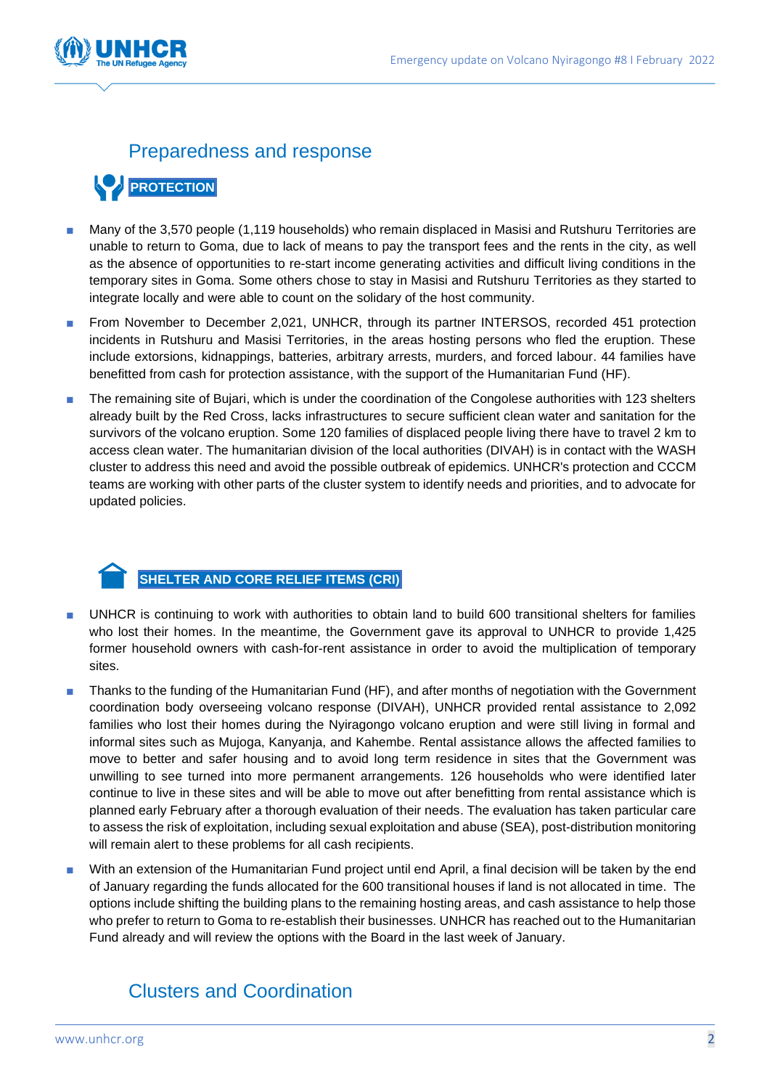

## Preparedness and response

## **PROTECTION**

- Many of the 3,570 people (1,119 households) who remain displaced in Masisi and Rutshuru Territories are unable to return to Goma, due to lack of means to pay the transport fees and the rents in the city, as well as the absence of opportunities to re-start income generating activities and difficult living conditions in the temporary sites in Goma. Some others chose to stay in Masisi and Rutshuru Territories as they started to integrate locally and were able to count on the solidary of the host community.
- From November to December 2,021, UNHCR, through its partner INTERSOS, recorded 451 protection incidents in Rutshuru and Masisi Territories, in the areas hosting persons who fled the eruption. These include extorsions, kidnappings, batteries, arbitrary arrests, murders, and forced labour. 44 families have benefitted from cash for protection assistance, with the support of the Humanitarian Fund (HF).
- The remaining site of Bujari, which is under the coordination of the Congolese authorities with 123 shelters already built by the Red Cross, lacks infrastructures to secure sufficient clean water and sanitation for the survivors of the volcano eruption. Some 120 families of displaced people living there have to travel 2 km to access clean water. The humanitarian division of the local authorities (DIVAH) is in contact with the WASH cluster to address this need and avoid the possible outbreak of epidemics. UNHCR's protection and CCCM teams are working with other parts of the cluster system to identify needs and priorities, and to advocate for updated policies.

#### **SHELTER AND CORE RELIEF ITEMS (CRI)**

- UNHCR is continuing to work with authorities to obtain land to build 600 transitional shelters for families who lost their homes. In the meantime, the Government gave its approval to UNHCR to provide 1,425 former household owners with cash-for-rent assistance in order to avoid the multiplication of temporary sites.
- Thanks to the funding of the Humanitarian Fund (HF), and after months of negotiation with the Government coordination body overseeing volcano response (DIVAH), UNHCR provided rental assistance to 2,092 families who lost their homes during the Nyiragongo volcano eruption and were still living in formal and informal sites such as Mujoga, Kanyanja, and Kahembe. Rental assistance allows the affected families to move to better and safer housing and to avoid long term residence in sites that the Government was unwilling to see turned into more permanent arrangements. 126 households who were identified later continue to live in these sites and will be able to move out after benefitting from rental assistance which is planned early February after a thorough evaluation of their needs. The evaluation has taken particular care to assess the risk of exploitation, including sexual exploitation and abuse (SEA), post-distribution monitoring will remain alert to these problems for all cash recipients.
- With an extension of the Humanitarian Fund project until end April, a final decision will be taken by the end of January regarding the funds allocated for the 600 transitional houses if land is not allocated in time. The options include shifting the building plans to the remaining hosting areas, and cash assistance to help those who prefer to return to Goma to re-establish their businesses. UNHCR has reached out to the Humanitarian Fund already and will review the options with the Board in the last week of January.

## Clusters and Coordination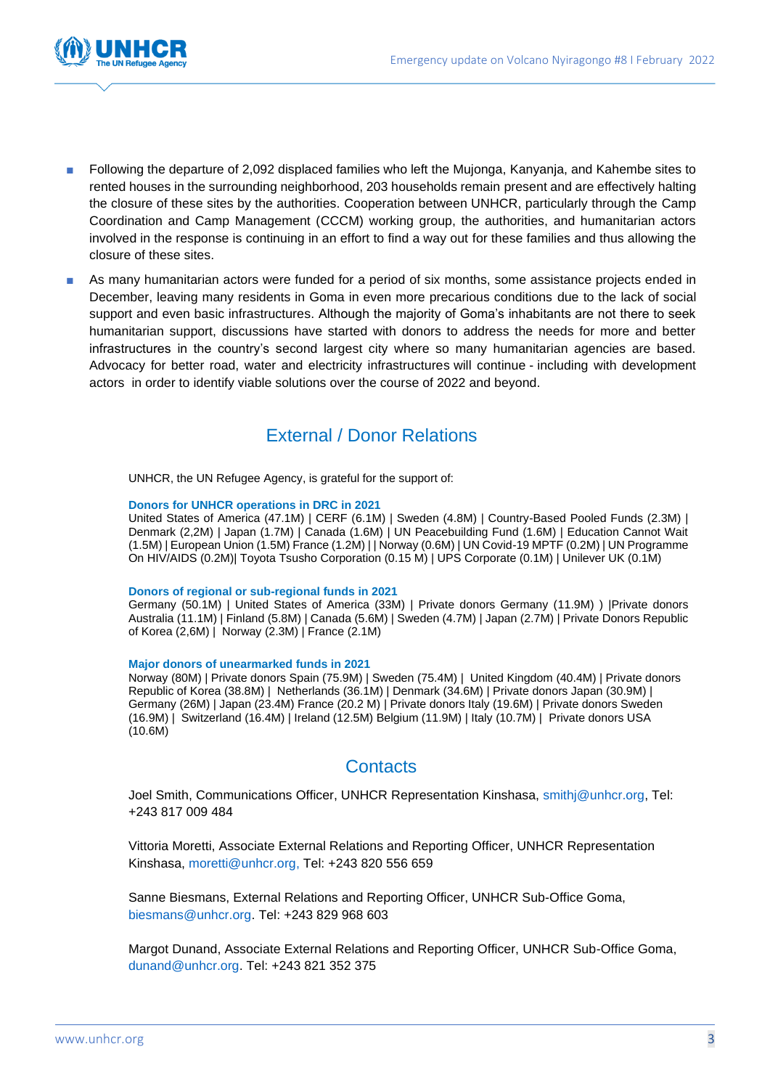

- Following the departure of 2,092 displaced families who left the Mujonga, Kanyanja, and Kahembe sites to rented houses in the surrounding neighborhood, 203 households remain present and are effectively halting the closure of these sites by the authorities. Cooperation between UNHCR, particularly through the Camp Coordination and Camp Management (CCCM) working group, the authorities, and humanitarian actors involved in the response is continuing in an effort to find a way out for these families and thus allowing the closure of these sites.
- As many humanitarian actors were funded for a period of six months, some assistance projects ended in December, leaving many residents in Goma in even more precarious conditions due to the lack of social support and even basic infrastructures. Although the majority of Goma's inhabitants are not there to seek humanitarian support, discussions have started with donors to address the needs for more and better infrastructures in the country's second largest city where so many humanitarian agencies are based. Advocacy for better road, water and electricity infrastructures will continue - including with development actors in order to identify viable solutions over the course of 2022 and beyond.

### External / Donor Relations

UNHCR, the UN Refugee Agency, is grateful for the support of:

#### **Donors for UNHCR operations in DRC in 2021**

United States of America (47.1M) | CERF (6.1M) | Sweden (4.8M) | Country-Based Pooled Funds (2.3M) | Denmark (2,2M) | Japan (1.7M) | Canada (1.6M) | UN Peacebuilding Fund (1.6M) | Education Cannot Wait (1.5M) | European Union (1.5M) France (1.2M) | | Norway (0.6M) | UN Covid-19 MPTF (0.2M) | UN Programme On HIV/AIDS (0.2M)| Toyota Tsusho Corporation (0.15 M) | UPS Corporate (0.1M) | Unilever UK (0.1M)

#### **Donors of regional or sub-regional funds in 2021**

Germany (50.1M) | United States of America (33M) | Private donors Germany (11.9M) ) |Private donors Australia (11.1M) | Finland (5.8M) | Canada (5.6M) | Sweden (4.7M) | Japan (2.7M) | Private Donors Republic of Korea (2,6M) | Norway (2.3M) | France (2.1M)

#### **Major donors of unearmarked funds in 2021**

Norway (80M) | Private donors Spain (75.9M) | Sweden (75.4M) | United Kingdom (40.4M) | Private donors Republic of Korea (38.8M) | Netherlands (36.1M) | Denmark (34.6M) | Private donors Japan (30.9M) | Germany (26M) | Japan (23.4M) France (20.2 M) | Private donors Italy (19.6M) | Private donors Sweden (16.9M) | Switzerland (16.4M) | Ireland (12.5M) Belgium (11.9M) | Italy (10.7M) | Private donors USA (10.6M)

### **Contacts**

Joel Smith, Communications Officer, UNHCR Representation Kinshasa, [smithj@unhcr.org,](mailto:smithj@unhcr.org) Tel: +243 817 009 484

Vittoria Moretti, Associate External Relations and Reporting Officer, UNHCR Representation Kinshasa, [moretti@unhcr.org,](mailto:moretti@unhcr.org) Tel: +243 820 556 659

Sanne Biesmans, External Relations and Reporting Officer, UNHCR Sub-Office Goma, [biesmans@unhcr.org.](mailto:biesmans@unhcr.org) Tel: +243 829 968 603

Margot Dunand, Associate External Relations and Reporting Officer, UNHCR Sub-Office Goma, dunand@unhcr.org. Tel: +243 821 352 375